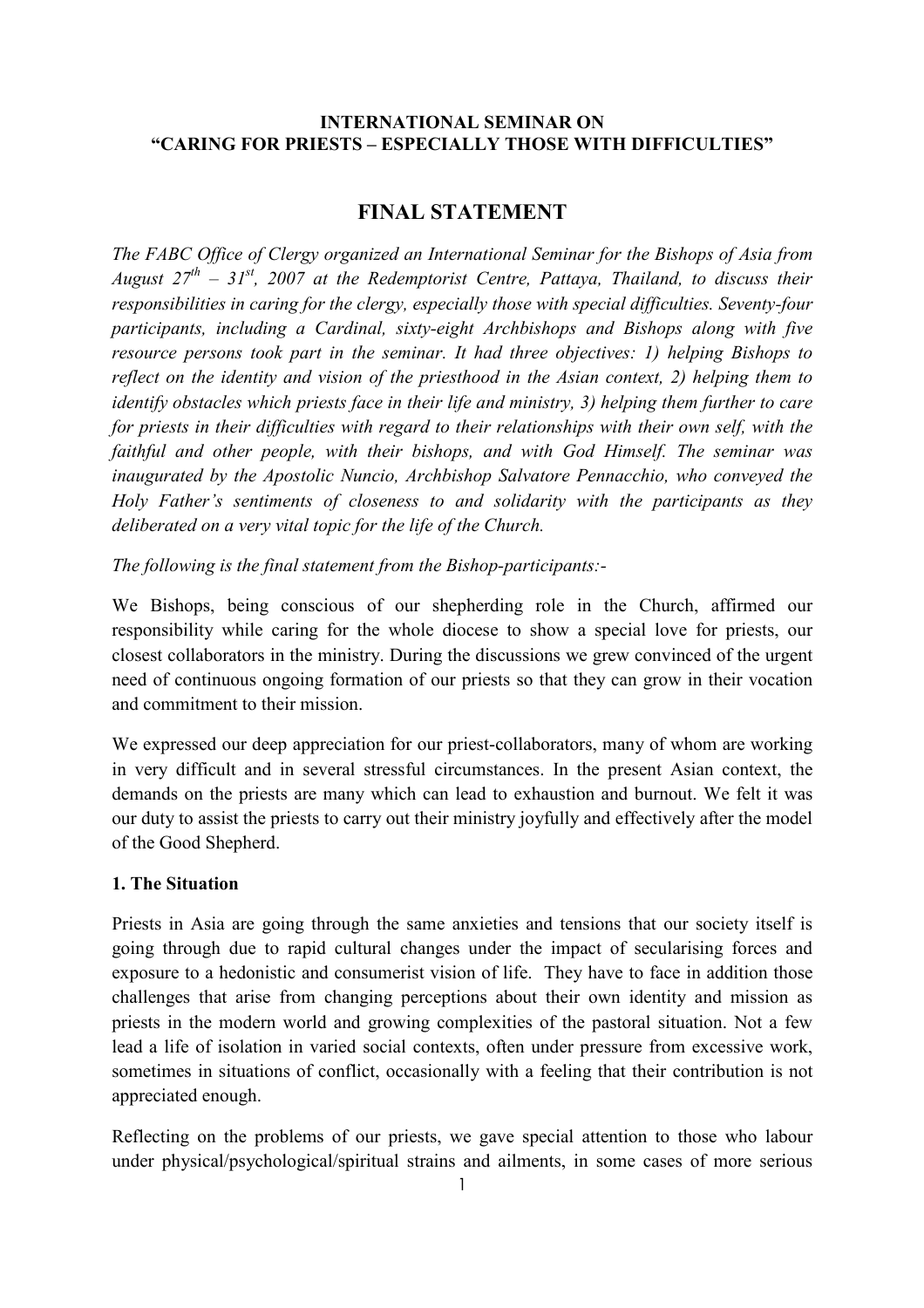### INTERNATIONAL SEMINAR ON "CARING FOR PRIESTS – ESPECIALLY THOSE WITH DIFFICULTIES"

# FINAL STATEMENT

The FABC Office of Clergy organized an International Seminar for the Bishops of Asia from August  $27^{th}$  –  $31^{st}$ , 2007 at the Redemptorist Centre, Pattaya, Thailand, to discuss their responsibilities in caring for the clergy, especially those with special difficulties. Seventy-four participants, including a Cardinal, sixty-eight Archbishops and Bishops along with five resource persons took part in the seminar. It had three objectives: 1) helping Bishops to reflect on the identity and vision of the priesthood in the Asian context, 2) helping them to identify obstacles which priests face in their life and ministry, 3) helping them further to care for priests in their difficulties with regard to their relationships with their own self, with the faithful and other people, with their bishops, and with God Himself. The seminar was inaugurated by the Apostolic Nuncio, Archbishop Salvatore Pennacchio, who conveyed the Holy Father's sentiments of closeness to and solidarity with the participants as they deliberated on a very vital topic for the life of the Church.

The following is the final statement from the Bishop-participants:-

We Bishops, being conscious of our shepherding role in the Church, affirmed our responsibility while caring for the whole diocese to show a special love for priests, our closest collaborators in the ministry. During the discussions we grew convinced of the urgent need of continuous ongoing formation of our priests so that they can grow in their vocation and commitment to their mission.

We expressed our deep appreciation for our priest-collaborators, many of whom are working in very difficult and in several stressful circumstances. In the present Asian context, the demands on the priests are many which can lead to exhaustion and burnout. We felt it was our duty to assist the priests to carry out their ministry joyfully and effectively after the model of the Good Shepherd.

#### 1. The Situation

Priests in Asia are going through the same anxieties and tensions that our society itself is going through due to rapid cultural changes under the impact of secularising forces and exposure to a hedonistic and consumerist vision of life. They have to face in addition those challenges that arise from changing perceptions about their own identity and mission as priests in the modern world and growing complexities of the pastoral situation. Not a few lead a life of isolation in varied social contexts, often under pressure from excessive work, sometimes in situations of conflict, occasionally with a feeling that their contribution is not appreciated enough.

Reflecting on the problems of our priests, we gave special attention to those who labour under physical/psychological/spiritual strains and ailments, in some cases of more serious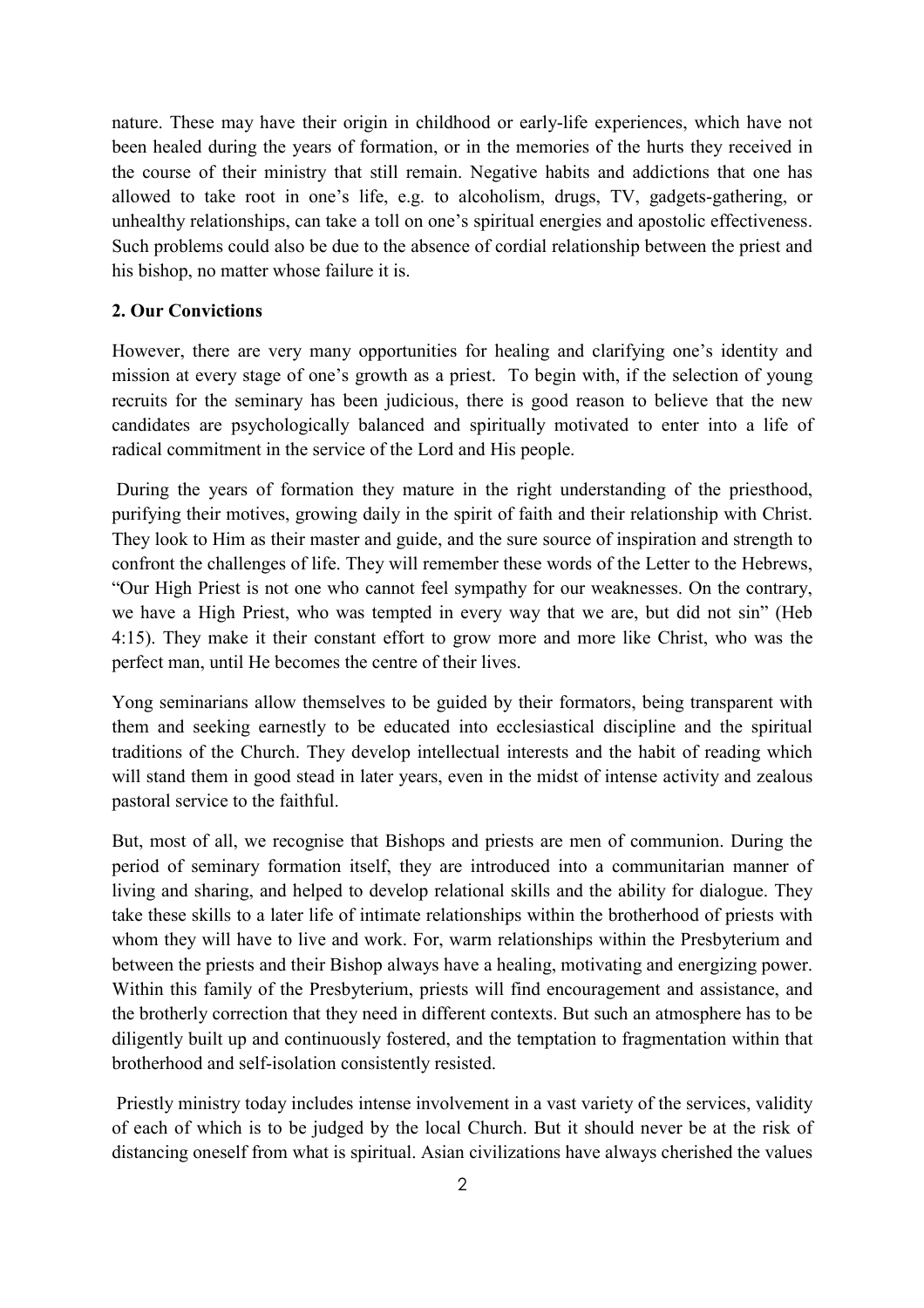nature. These may have their origin in childhood or early-life experiences, which have not been healed during the years of formation, or in the memories of the hurts they received in the course of their ministry that still remain. Negative habits and addictions that one has allowed to take root in one's life, e.g. to alcoholism, drugs, TV, gadgets-gathering, or unhealthy relationships, can take a toll on one's spiritual energies and apostolic effectiveness. Such problems could also be due to the absence of cordial relationship between the priest and his bishop, no matter whose failure it is.

#### 2. Our Convictions

However, there are very many opportunities for healing and clarifying one's identity and mission at every stage of one's growth as a priest. To begin with, if the selection of young recruits for the seminary has been judicious, there is good reason to believe that the new candidates are psychologically balanced and spiritually motivated to enter into a life of radical commitment in the service of the Lord and His people.

 During the years of formation they mature in the right understanding of the priesthood, purifying their motives, growing daily in the spirit of faith and their relationship with Christ. They look to Him as their master and guide, and the sure source of inspiration and strength to confront the challenges of life. They will remember these words of the Letter to the Hebrews, "Our High Priest is not one who cannot feel sympathy for our weaknesses. On the contrary, we have a High Priest, who was tempted in every way that we are, but did not sin" (Heb 4:15). They make it their constant effort to grow more and more like Christ, who was the perfect man, until He becomes the centre of their lives.

Yong seminarians allow themselves to be guided by their formators, being transparent with them and seeking earnestly to be educated into ecclesiastical discipline and the spiritual traditions of the Church. They develop intellectual interests and the habit of reading which will stand them in good stead in later years, even in the midst of intense activity and zealous pastoral service to the faithful.

But, most of all, we recognise that Bishops and priests are men of communion. During the period of seminary formation itself, they are introduced into a communitarian manner of living and sharing, and helped to develop relational skills and the ability for dialogue. They take these skills to a later life of intimate relationships within the brotherhood of priests with whom they will have to live and work. For, warm relationships within the Presbyterium and between the priests and their Bishop always have a healing, motivating and energizing power. Within this family of the Presbyterium, priests will find encouragement and assistance, and the brotherly correction that they need in different contexts. But such an atmosphere has to be diligently built up and continuously fostered, and the temptation to fragmentation within that brotherhood and self-isolation consistently resisted.

 Priestly ministry today includes intense involvement in a vast variety of the services, validity of each of which is to be judged by the local Church. But it should never be at the risk of distancing oneself from what is spiritual. Asian civilizations have always cherished the values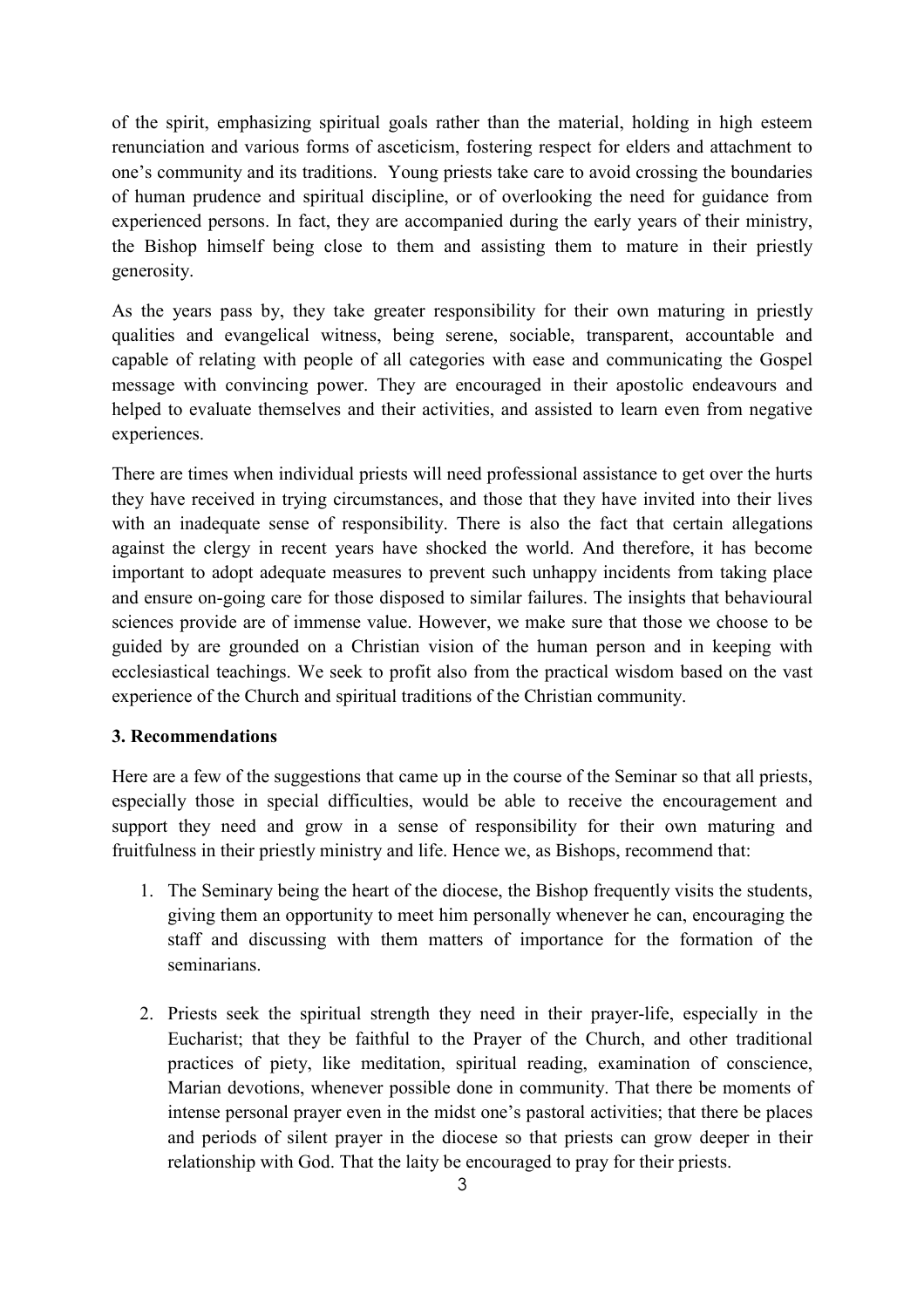of the spirit, emphasizing spiritual goals rather than the material, holding in high esteem renunciation and various forms of asceticism, fostering respect for elders and attachment to one's community and its traditions. Young priests take care to avoid crossing the boundaries of human prudence and spiritual discipline, or of overlooking the need for guidance from experienced persons. In fact, they are accompanied during the early years of their ministry, the Bishop himself being close to them and assisting them to mature in their priestly generosity.

As the years pass by, they take greater responsibility for their own maturing in priestly qualities and evangelical witness, being serene, sociable, transparent, accountable and capable of relating with people of all categories with ease and communicating the Gospel message with convincing power. They are encouraged in their apostolic endeavours and helped to evaluate themselves and their activities, and assisted to learn even from negative experiences.

There are times when individual priests will need professional assistance to get over the hurts they have received in trying circumstances, and those that they have invited into their lives with an inadequate sense of responsibility. There is also the fact that certain allegations against the clergy in recent years have shocked the world. And therefore, it has become important to adopt adequate measures to prevent such unhappy incidents from taking place and ensure on-going care for those disposed to similar failures. The insights that behavioural sciences provide are of immense value. However, we make sure that those we choose to be guided by are grounded on a Christian vision of the human person and in keeping with ecclesiastical teachings. We seek to profit also from the practical wisdom based on the vast experience of the Church and spiritual traditions of the Christian community.

## 3. Recommendations

Here are a few of the suggestions that came up in the course of the Seminar so that all priests, especially those in special difficulties, would be able to receive the encouragement and support they need and grow in a sense of responsibility for their own maturing and fruitfulness in their priestly ministry and life. Hence we, as Bishops, recommend that:

- 1. The Seminary being the heart of the diocese, the Bishop frequently visits the students, giving them an opportunity to meet him personally whenever he can, encouraging the staff and discussing with them matters of importance for the formation of the seminarians.
- 2. Priests seek the spiritual strength they need in their prayer-life, especially in the Eucharist; that they be faithful to the Prayer of the Church, and other traditional practices of piety, like meditation, spiritual reading, examination of conscience, Marian devotions, whenever possible done in community. That there be moments of intense personal prayer even in the midst one's pastoral activities; that there be places and periods of silent prayer in the diocese so that priests can grow deeper in their relationship with God. That the laity be encouraged to pray for their priests.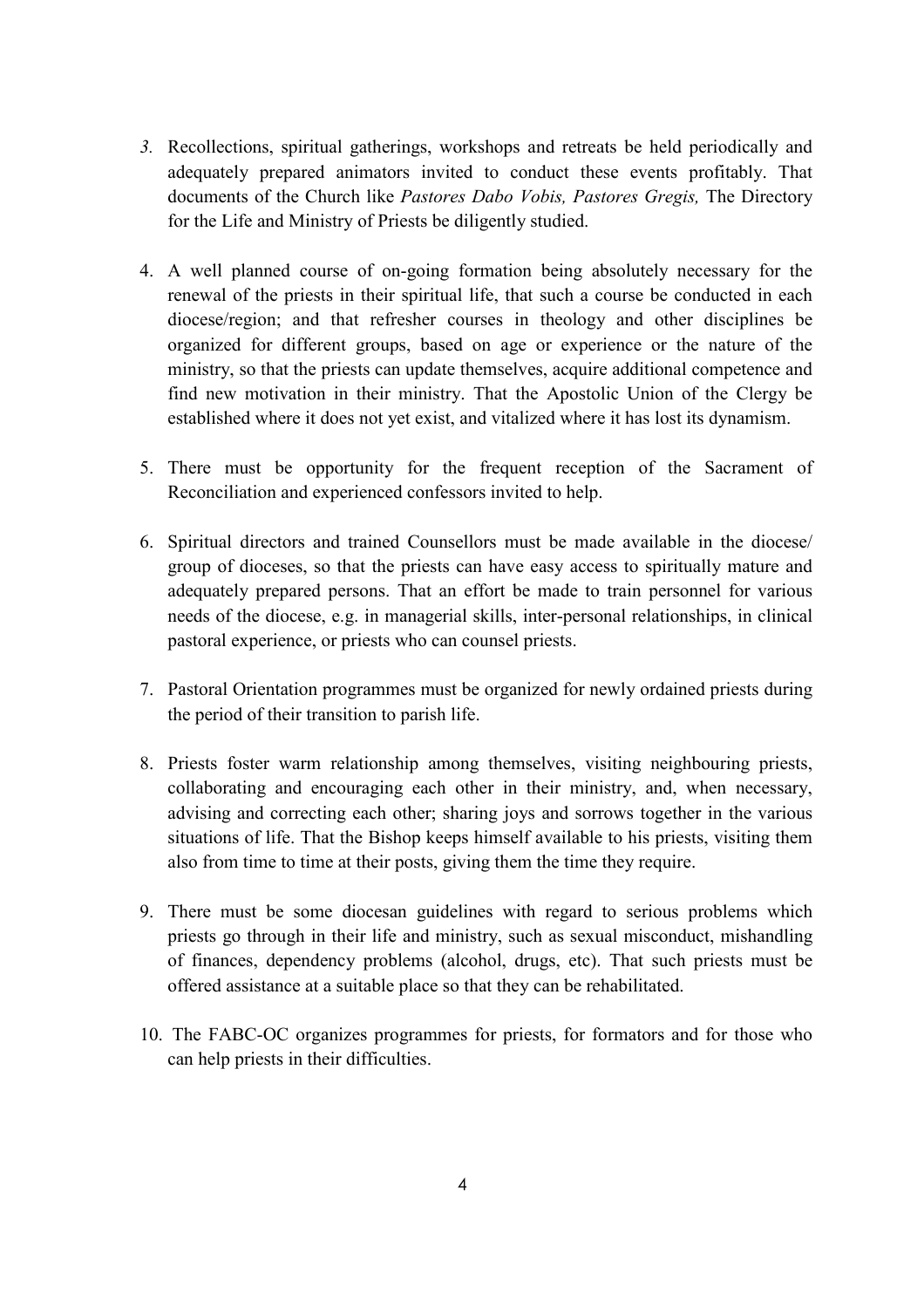- 3. Recollections, spiritual gatherings, workshops and retreats be held periodically and adequately prepared animators invited to conduct these events profitably. That documents of the Church like Pastores Dabo Vobis, Pastores Gregis, The Directory for the Life and Ministry of Priests be diligently studied.
- 4. A well planned course of on-going formation being absolutely necessary for the renewal of the priests in their spiritual life, that such a course be conducted in each diocese/region; and that refresher courses in theology and other disciplines be organized for different groups, based on age or experience or the nature of the ministry, so that the priests can update themselves, acquire additional competence and find new motivation in their ministry. That the Apostolic Union of the Clergy be established where it does not yet exist, and vitalized where it has lost its dynamism.
- 5. There must be opportunity for the frequent reception of the Sacrament of Reconciliation and experienced confessors invited to help.
- 6. Spiritual directors and trained Counsellors must be made available in the diocese/ group of dioceses, so that the priests can have easy access to spiritually mature and adequately prepared persons. That an effort be made to train personnel for various needs of the diocese, e.g. in managerial skills, inter-personal relationships, in clinical pastoral experience, or priests who can counsel priests.
- 7. Pastoral Orientation programmes must be organized for newly ordained priests during the period of their transition to parish life.
- 8. Priests foster warm relationship among themselves, visiting neighbouring priests, collaborating and encouraging each other in their ministry, and, when necessary, advising and correcting each other; sharing joys and sorrows together in the various situations of life. That the Bishop keeps himself available to his priests, visiting them also from time to time at their posts, giving them the time they require.
- 9. There must be some diocesan guidelines with regard to serious problems which priests go through in their life and ministry, such as sexual misconduct, mishandling of finances, dependency problems (alcohol, drugs, etc). That such priests must be offered assistance at a suitable place so that they can be rehabilitated.
- 10. The FABC-OC organizes programmes for priests, for formators and for those who can help priests in their difficulties.